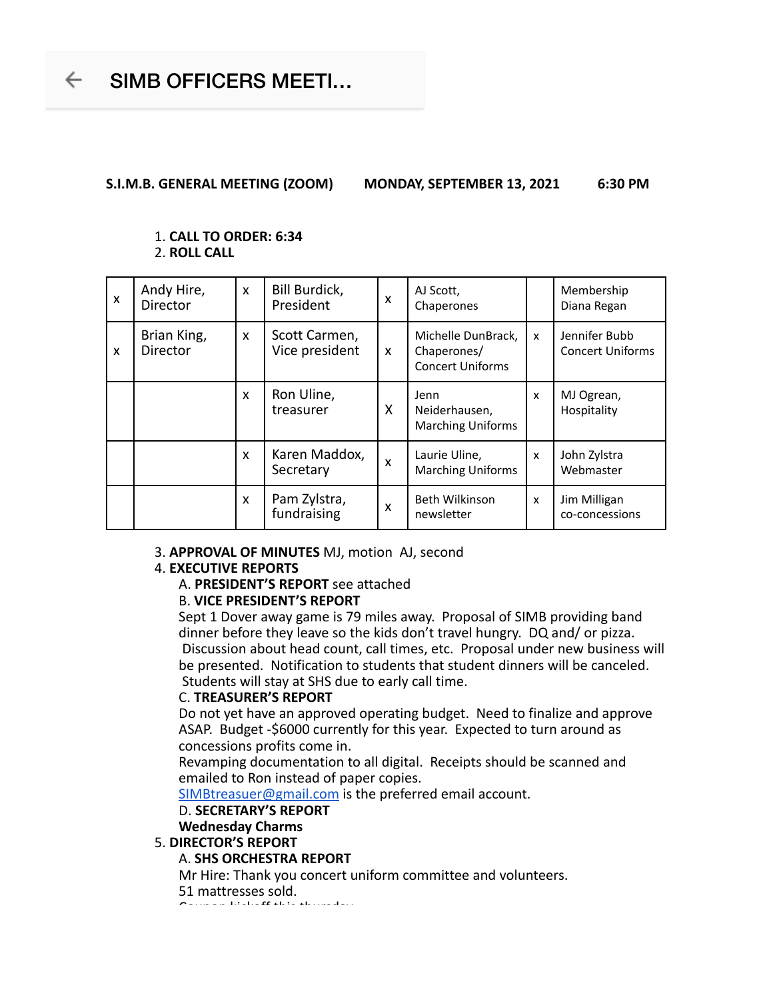**S.I.M.B. GENERAL MEETING (ZOOM) MONDAY, SEPTEMBER 13, 2021 6:30 PM**

## 1. **CALL TO ORDER: 6:34** 2. **ROLL CALL**

| $\boldsymbol{\mathsf{x}}$ | Andy Hire,<br>Director  | $\boldsymbol{\mathsf{x}}$ | Bill Burdick,<br>President      | X                         | AJ Scott,<br>Chaperones                                      |   | Membership<br>Diana Regan                |
|---------------------------|-------------------------|---------------------------|---------------------------------|---------------------------|--------------------------------------------------------------|---|------------------------------------------|
| $\mathbf{x}$              | Brian King,<br>Director | X                         | Scott Carmen,<br>Vice president | $\mathbf x$               | Michelle DunBrack.<br>Chaperones/<br><b>Concert Uniforms</b> | X | Jennifer Bubb<br><b>Concert Uniforms</b> |
|                           |                         | $\boldsymbol{\mathsf{x}}$ | Ron Uline,<br>treasurer         | X                         | Jenn<br>Neiderhausen,<br><b>Marching Uniforms</b>            | x | MJ Ogrean,<br>Hospitality                |
|                           |                         | $\boldsymbol{\mathsf{x}}$ | Karen Maddox,<br>Secretary      | $\boldsymbol{\mathsf{x}}$ | Laurie Uline,<br><b>Marching Uniforms</b>                    | X | John Zylstra<br>Webmaster                |
|                           |                         | $\mathsf{x}$              | Pam Zylstra,<br>fundraising     | X                         | <b>Beth Wilkinson</b><br>newsletter                          | X | Jim Milligan<br>co-concessions           |

## 3. **APPROVAL OF MINUTES** MJ, motion AJ, second

# 4. **EXECUTIVE REPORTS**

A. **PRESIDENT'S REPORT** see attached

# B. **VICE PRESIDENT'S REPORT**

Sept 1 Dover away game is 79 miles away. Proposal of SIMB providing band dinner before they leave so the kids don't travel hungry. DQ and/ or pizza. Discussion about head count, call times, etc. Proposal under new business will be presented. Notification to students that student dinners will be canceled. Students will stay at SHS due to early call time.

# C. **TREASURER'S REPORT**

Do not yet have an approved operating budget. Need to finalize and approve ASAP. Budget -\$6000 currently for this year. Expected to turn around as concessions profits come in.

Revamping documentation to all digital. Receipts should be scanned and emailed to Ron instead of paper copies.

SIMBtreasuer@gmail.com is the preferred email account.

# D. **SECRETARY'S REPORT**

# **Wednesday Charms**

# 5. **DIRECTOR'S REPORT**

# A. **SHS ORCHESTRA REPORT**

Mr Hire: Thank you concert uniform committee and volunteers.

51 mattresses sold. Coupon kickoff this thursday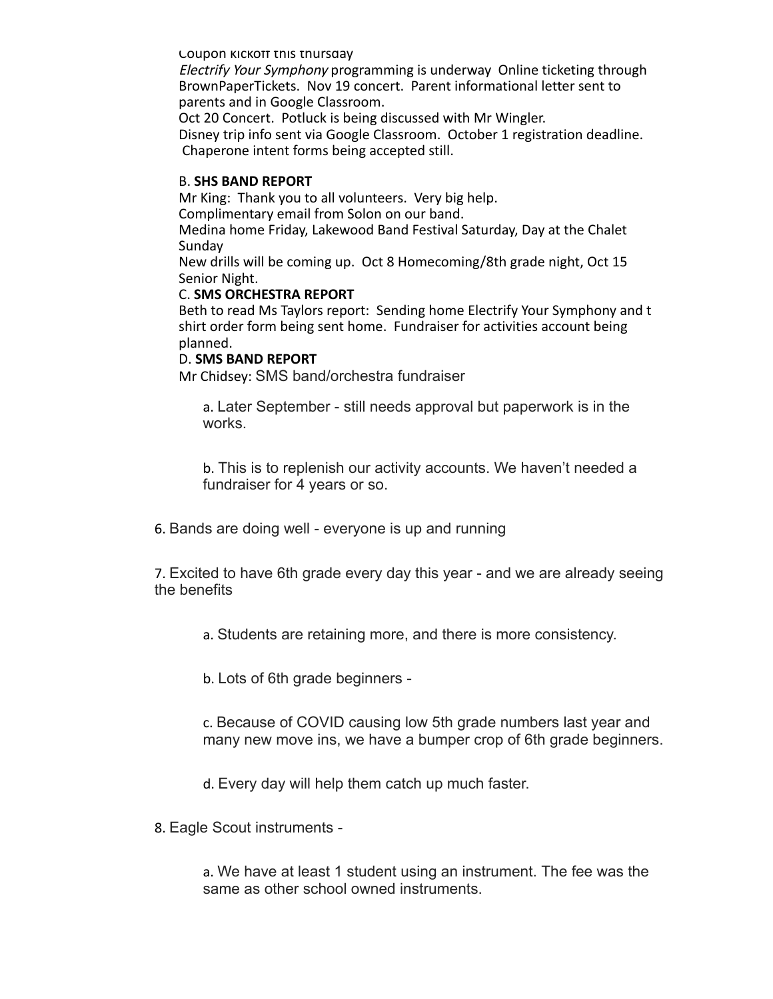Coupon kickoff this thursday

Electrify Your Symphony programming is underway Online ticketing through BrownPaperTickets. Nov 19 concert. Parent informational letter sent to parents and in Google Classroom.

Oct 20 Concert. Potluck is being discussed with Mr Wingler.

Disney trip info sent via Google Classroom. October 1 registration deadline. Chaperone intent forms being accepted still.

# B. **SHS BAND REPORT**

Mr King: Thank you to all volunteers. Very big help. Complimentary email from Solon on our band.

Medina home Friday, Lakewood Band Festival Saturday, Day at the Chalet Sunday

New drills will be coming up. Oct 8 Homecoming/8th grade night, Oct 15 Senior Night.

## C. **SMS ORCHESTRA REPORT**

Beth to read Ms Taylors report: Sending home Electrify Your Symphony and t shirt order form being sent home. Fundraiser for activities account being planned.

## D. **SMS BAND REPORT**

Mr Chidsey: SMS band/orchestra fundraiser

a. Later September - still needs approval but paperwork is in the works.

b. This is to replenish our activity accounts. We haven't needed a fundraiser for 4 years or so.

6. Bands are doing well - everyone is up and running

7. Excited to have 6th grade every day this year - and we are already seeing the benefits

a. Students are retaining more, and there is more consistency.

b. Lots of 6th grade beginners -

c. Because of COVID causing low 5th grade numbers last year and many new move ins, we have a bumper crop of 6th grade beginners.

d. Every day will help them catch up much faster.

8. Eagle Scout instruments -

a. We have at least 1 student using an instrument. The fee was the same as other school owned instruments.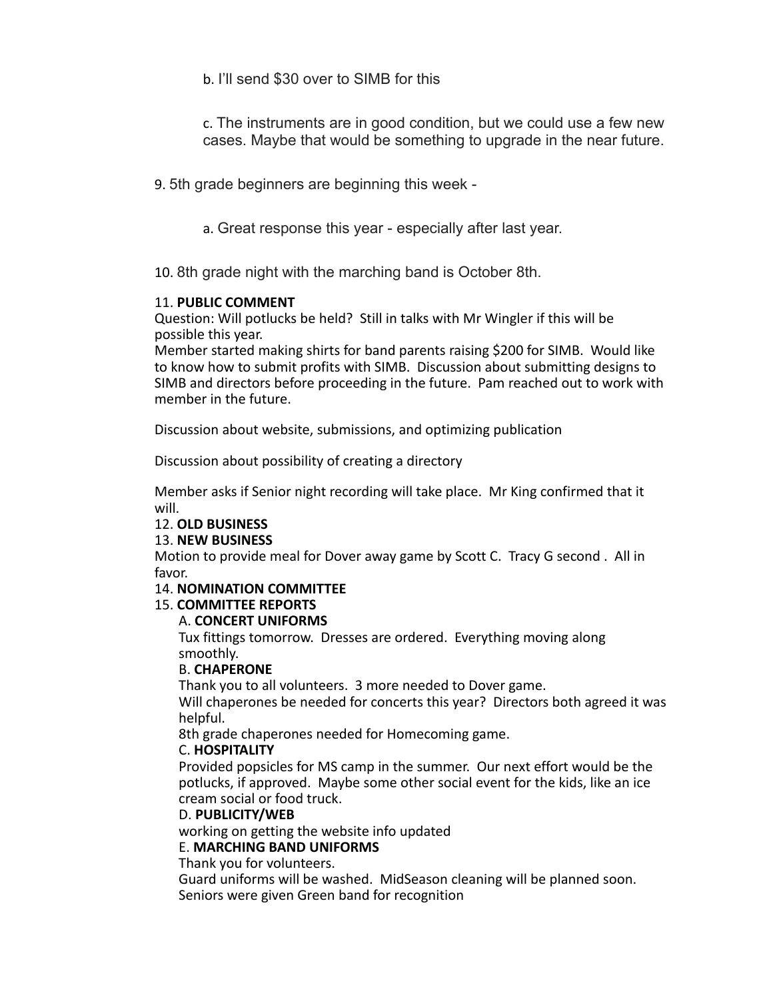b. I'll send \$30 over to SIMB for this

c. The instruments are in good condition, but we could use a few new cases. Maybe that would be something to upgrade in the near future.

9. 5th grade beginners are beginning this week -

a. Great response this year - especially after last year.

10. 8th grade night with the marching band is October 8th.

# 11. **PUBLIC COMMENT**

Question: Will potlucks be held? Still in talks with Mr Wingler if this will be possible this year.

Member started making shirts for band parents raising \$200 for SIMB. Would like to know how to submit profits with SIMB. Discussion about submitting designs to SIMB and directors before proceeding in the future. Pam reached out to work with member in the future.

Discussion about website, submissions, and optimizing publication

Discussion about possibility of creating a directory

Member asks if Senior night recording will take place. Mr King confirmed that it will.

# 12. **OLD BUSINESS**

# 13. **NEW BUSINESS**

Motion to provide meal for Dover away game by Scott C. Tracy G second . All in favor.

## 14. **NOMINATION COMMITTEE**

15. **COMMITTEE REPORTS**

## A. **CONCERT UNIFORMS**

Tux fittings tomorrow. Dresses are ordered. Everything moving along smoothly.

## B. **CHAPERONE**

Thank you to all volunteers. 3 more needed to Dover game.

Will chaperones be needed for concerts this year? Directors both agreed it was helpful.

8th grade chaperones needed for Homecoming game.

# C. **HOSPITALITY**

Provided popsicles for MS camp in the summer. Our next effort would be the potlucks, if approved. Maybe some other social event for the kids, like an ice cream social or food truck.

# D. **PUBLICITY/WEB**

working on getting the website info updated

# E. **MARCHING BAND UNIFORMS**

Thank you for volunteers.

Guard uniforms will be washed. MidSeason cleaning will be planned soon. Seniors were given Green band for recognition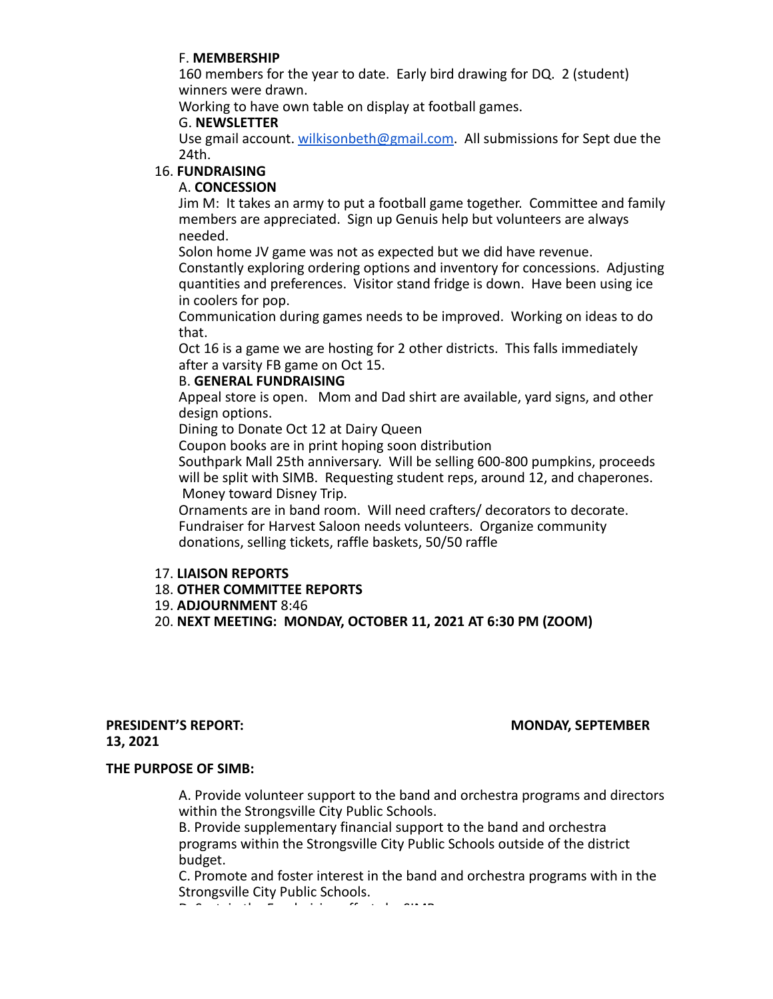# F. **MEMBERSHIP**

160 members for the year to date. Early bird drawing for DQ. 2 (student) winners were drawn.

Working to have own table on display at football games.

# G. **NEWSLETTER**

Use gmail account. wilkisonbeth@gmail.com. All submissions for Sept due the 24th.

# 16. **FUNDRAISING**

# A. **CONCESSION**

Jim M: It takes an army to put a football game together. Committee and family members are appreciated. Sign up Genuis help but volunteers are always needed.

Solon home JV game was not as expected but we did have revenue.

Constantly exploring ordering options and inventory for concessions. Adjusting quantities and preferences. Visitor stand fridge is down. Have been using ice in coolers for pop.

Communication during games needs to be improved. Working on ideas to do that.

Oct 16 is a game we are hosting for 2 other districts. This falls immediately after a varsity FB game on Oct 15.

# B. **GENERAL FUNDRAISING**

Appeal store is open. Mom and Dad shirt are available, yard signs, and other design options.

Dining to Donate Oct 12 at Dairy Queen

Coupon books are in print hoping soon distribution

Southpark Mall 25th anniversary. Will be selling 600-800 pumpkins, proceeds will be split with SIMB. Requesting student reps, around 12, and chaperones. Money toward Disney Trip.

Ornaments are in band room. Will need crafters/ decorators to decorate. Fundraiser for Harvest Saloon needs volunteers. Organize community donations, selling tickets, raffle baskets, 50/50 raffle

# 17. **LIAISON REPORTS**

- 18. **OTHER COMMITTEE REPORTS**
- 19. **ADJOURNMENT** 8:46
- 20. **NEXT MEETING: MONDAY, OCTOBER 11, 2021 AT 6:30 PM (ZOOM)**

## **PRESIDENT'S REPORT: MONDAY, SEPTEMBER 13, 2021**

## **THE PURPOSE OF SIMB:**

A. Provide volunteer support to the band and orchestra programs and directors within the Strongsville City Public Schools.

B. Provide supplementary financial support to the band and orchestra programs within the Strongsville City Public Schools outside of the district budget.

C. Promote and foster interest in the band and orchestra programs with in the Strongsville City Public Schools.

D. Sustain the Fundraising efforts by SIMB.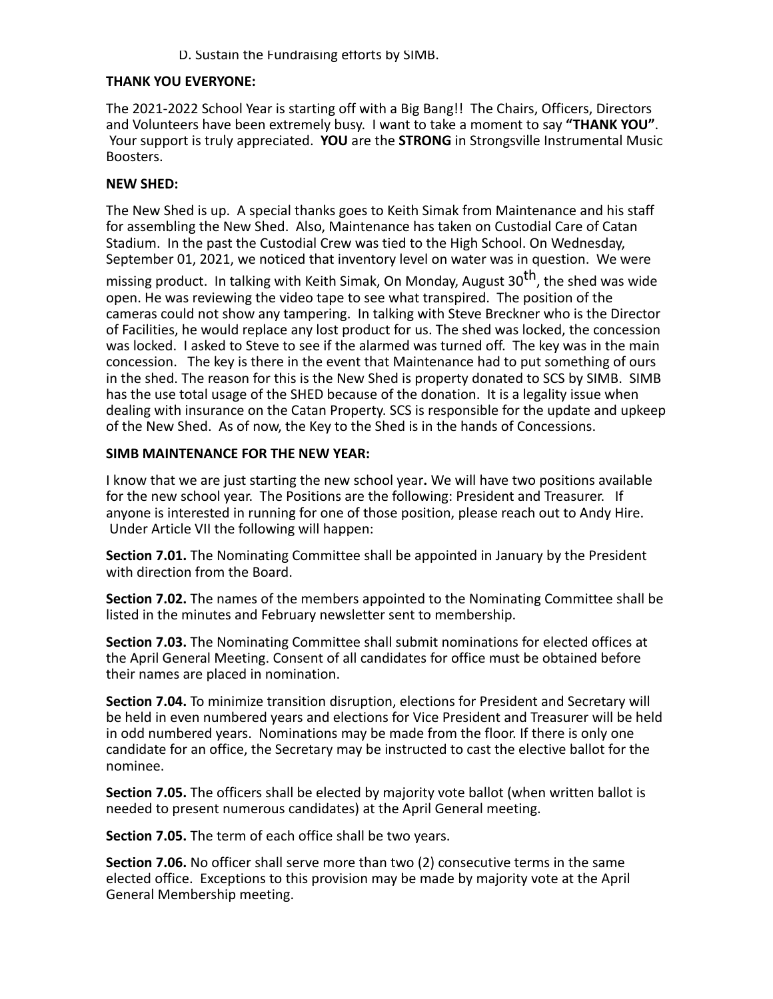# D. Sustain the Fundraising efforts by SIMB.

# **THANK YOU EVERYONE:**

The 2021-2022 School Year is starting off with a Big Bang!! The Chairs, Officers, Directors and Volunteers have been extremely busy. I want to take a moment to say **"THANK YOU"**. Your support is truly appreciated. **YOU** are the **STRONG** in Strongsville Instrumental Music Boosters.

# **NEW SHED:**

The New Shed is up. A special thanks goes to Keith Simak from Maintenance and his staff for assembling the New Shed. Also, Maintenance has taken on Custodial Care of Catan Stadium. In the past the Custodial Crew was tied to the High School. On Wednesday, September 01, 2021, we noticed that inventory level on water was in question. We were

missing product. In talking with Keith Simak, On Monday, August 30<sup>th</sup>, the shed was wide open. He was reviewing the video tape to see what transpired. The position of the cameras could not show any tampering. In talking with Steve Breckner who is the Director of Facilities, he would replace any lost product for us. The shed was locked, the concession was locked. I asked to Steve to see if the alarmed was turned off. The key was in the main concession. The key is there in the event that Maintenance had to put something of ours in the shed. The reason for this is the New Shed is property donated to SCS by SIMB. SIMB has the use total usage of the SHED because of the donation. It is a legality issue when dealing with insurance on the Catan Property. SCS is responsible for the update and upkeep of the New Shed. As of now, the Key to the Shed is in the hands of Concessions.

# **SIMB MAINTENANCE FOR THE NEW YEAR:**

I know that we are just starting the new school year**.** We will have two positions available for the new school year. The Positions are the following: President and Treasurer. If anyone is interested in running for one of those position, please reach out to Andy Hire. Under Article VII the following will happen:

**Section 7.01.** The Nominating Committee shall be appointed in January by the President with direction from the Board.

**Section 7.02.** The names of the members appointed to the Nominating Committee shall be listed in the minutes and February newsletter sent to membership.

**Section 7.03.** The Nominating Committee shall submit nominations for elected offices at the April General Meeting. Consent of all candidates for office must be obtained before their names are placed in nomination.

**Section 7.04.** To minimize transition disruption, elections for President and Secretary will be held in even numbered years and elections for Vice President and Treasurer will be held in odd numbered years. Nominations may be made from the floor. If there is only one candidate for an office, the Secretary may be instructed to cast the elective ballot for the nominee.

**Section 7.05.** The officers shall be elected by majority vote ballot (when written ballot is needed to present numerous candidates) at the April General meeting.

**Section 7.05.** The term of each office shall be two years.

**Section 7.06.** No officer shall serve more than two (2) consecutive terms in the same elected office. Exceptions to this provision may be made by majority vote at the April General Membership meeting.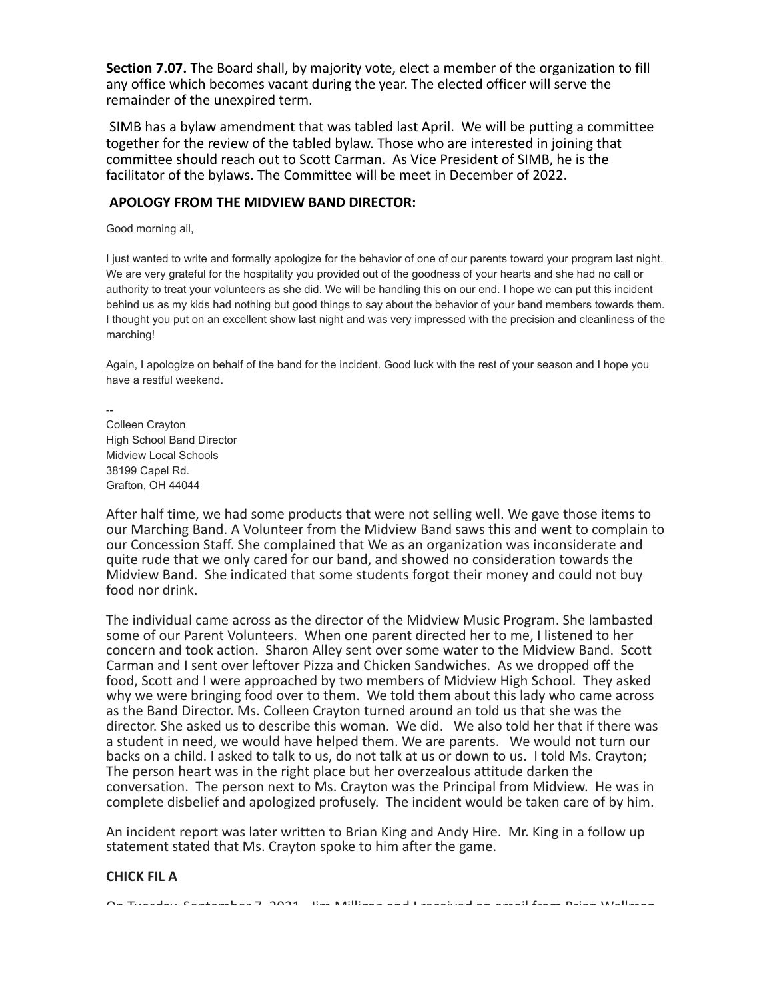**Section 7.07.** The Board shall, by majority vote, elect a member of the organization to fill any office which becomes vacant during the year. The elected officer will serve the remainder of the unexpired term.

 SIMB has a bylaw amendment that was tabled last April. We will be putting a committee together for the review of the tabled bylaw. Those who are interested in joining that committee should reach out to Scott Carman. As Vice President of SIMB, he is the facilitator of the bylaws. The Committee will be meet in December of 2022.

## **APOLOGY FROM THE MIDVIEW BAND DIRECTOR:**

Good morning all,

I just wanted to write and formally apologize for the behavior of one of our parents toward your program last night. We are very grateful for the hospitality you provided out of the goodness of your hearts and she had no call or authority to treat your volunteers as she did. We will be handling this on our end. I hope we can put this incident behind us as my kids had nothing but good things to say about the behavior of your band members towards them. I thought you put on an excellent show last night and was very impressed with the precision and cleanliness of the marching!

Again, I apologize on behalf of the band for the incident. Good luck with the rest of your season and I hope you have a restful weekend.

-- Colleen Crayton High School Band Director Midview Local Schools 38199 Capel Rd. Grafton, OH 44044

After half time, we had some products that were not selling well. We gave those items to our Marching Band. A Volunteer from the Midview Band saws this and went to complain to our Concession Staff. She complained that We as an organization was inconsiderate and quite rude that we only cared for our band, and showed no consideration towards the Midview Band. She indicated that some students forgot their money and could not buy food nor drink.

The individual came across as the director of the Midview Music Program. She lambasted some of our Parent Volunteers. When one parent directed her to me, I listened to her concern and took action. Sharon Alley sent over some water to the Midview Band. Scott Carman and I sent over leftover Pizza and Chicken Sandwiches. As we dropped off the food, Scott and I were approached by two members of Midview High School. They asked why we were bringing food over to them. We told them about this lady who came across as the Band Director. Ms. Colleen Crayton turned around an told us that she was the director. She asked us to describe this woman. We did. We also told her that if there was a student in need, we would have helped them. We are parents. We would not turn our backs on a child. I asked to talk to us, do not talk at us or down to us. I told Ms. Crayton; The person heart was in the right place but her overzealous attitude darken the conversation. The person next to Ms. Crayton was the Principal from Midview. He was in complete disbelief and apologized profusely. The incident would be taken care of by him.

An incident report was later written to Brian King and Andy Hire. Mr. King in a follow up statement stated that Ms. Crayton spoke to him after the game.

## **CHICK FIL A**

On Tuesday, September 7, 2021. Jim Milligan and I received an email from Brian Wellman.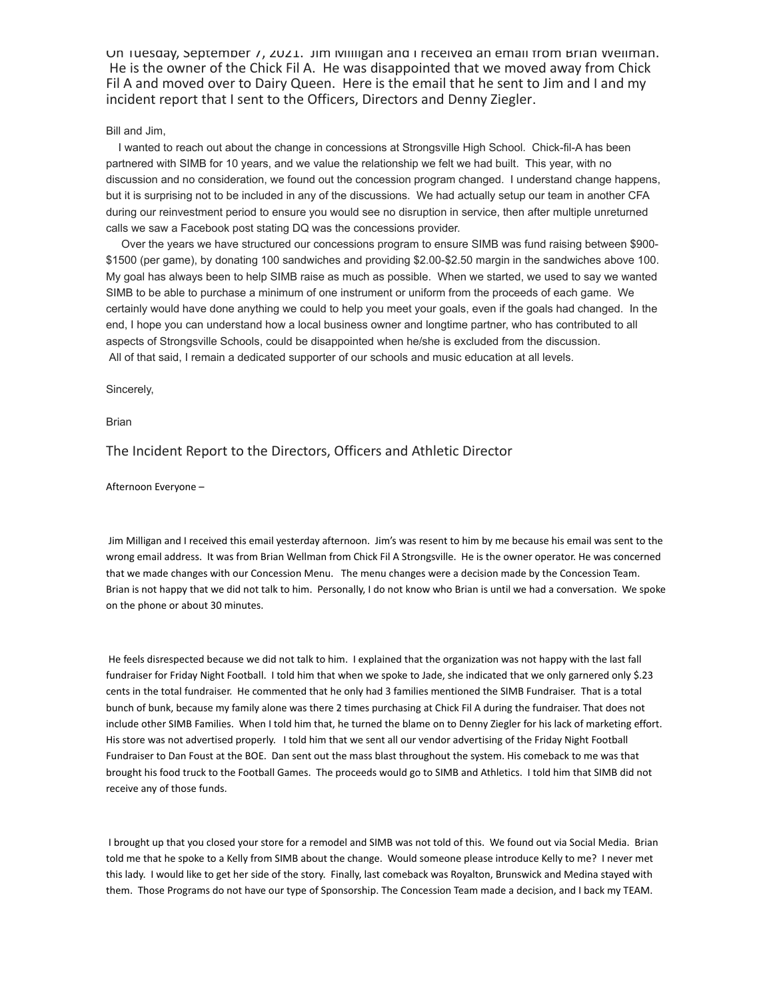On Tuesday, September 7, 2021. Jim Milligan and I received an email from Brian Wellman. He is the owner of the Chick Fil A. He was disappointed that we moved away from Chick Fil A and moved over to Dairy Queen. Here is the email that he sent to Jim and I and my incident report that I sent to the Officers, Directors and Denny Ziegler.

### Bill and Jim,

 I wanted to reach out about the change in concessions at Strongsville High School. Chick-fil-A has been partnered with SIMB for 10 years, and we value the relationship we felt we had built. This year, with no discussion and no consideration, we found out the concession program changed. I understand change happens, but it is surprising not to be included in any of the discussions. We had actually setup our team in another CFA during our reinvestment period to ensure you would see no disruption in service, then after multiple unreturned calls we saw a Facebook post stating DQ was the concessions provider.

 Over the years we have structured our concessions program to ensure SIMB was fund raising between \$900- \$1500 (per game), by donating 100 sandwiches and providing \$2.00-\$2.50 margin in the sandwiches above 100. My goal has always been to help SIMB raise as much as possible. When we started, we used to say we wanted SIMB to be able to purchase a minimum of one instrument or uniform from the proceeds of each game. We certainly would have done anything we could to help you meet your goals, even if the goals had changed. In the end, I hope you can understand how a local business owner and longtime partner, who has contributed to all aspects of Strongsville Schools, could be disappointed when he/she is excluded from the discussion. All of that said, I remain a dedicated supporter of our schools and music education at all levels.

Sincerely,

Brian

## The Incident Report to the Directors, Officers and Athletic Director

Afternoon Everyone –

 Jim Milligan and I received this email yesterday afternoon. Jim's was resent to him by me because his email was sent to the wrong email address. It was from Brian Wellman from Chick Fil A Strongsville. He is the owner operator. He was concerned that we made changes with our Concession Menu. The menu changes were a decision made by the Concession Team. Brian is not happy that we did not talk to him. Personally, I do not know who Brian is until we had a conversation. We spoke on the phone or about 30 minutes.

 He feels disrespected because we did not talk to him. I explained that the organization was not happy with the last fall fundraiser for Friday Night Football. I told him that when we spoke to Jade, she indicated that we only garnered only \$.23 cents in the total fundraiser. He commented that he only had 3 families mentioned the SIMB Fundraiser. That is a total bunch of bunk, because my family alone was there 2 times purchasing at Chick Fil A during the fundraiser. That does not include other SIMB Families. When I told him that, he turned the blame on to Denny Ziegler for his lack of marketing effort. His store was not advertised properly. I told him that we sent all our vendor advertising of the Friday Night Football Fundraiser to Dan Foust at the BOE. Dan sent out the mass blast throughout the system. His comeback to me was that brought his food truck to the Football Games. The proceeds would go to SIMB and Athletics. I told him that SIMB did not receive any of those funds.

 I brought up that you closed your store for a remodel and SIMB was not told of this. We found out via Social Media. Brian told me that he spoke to a Kelly from SIMB about the change. Would someone please introduce Kelly to me? I never met this lady. I would like to get her side of the story. Finally, last comeback was Royalton, Brunswick and Medina stayed with them. Those Programs do not have our type of Sponsorship. The Concession Team made a decision, and I back my TEAM.